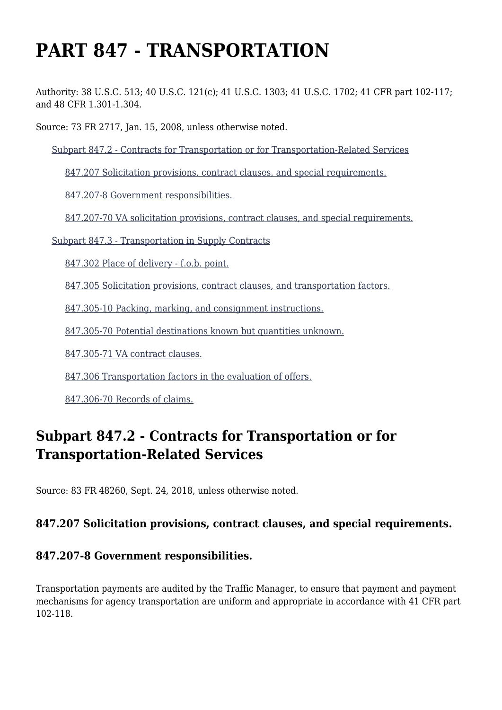# **PART 847 - TRANSPORTATION**

Authority: 38 U.S.C. 513; 40 U.S.C. 121(c); 41 U.S.C. 1303; 41 U.S.C. 1702; 41 CFR part 102-117; and 48 CFR 1.301-1.304.

Source: 73 FR 2717, Jan. 15, 2008, unless otherwise noted.

[Subpart 847.2 - Contracts for Transportation or for Transportation-Related Services](https://www.acquisition.gov/%5Brp:link:vaar-part-847%5D#Subpart_847_2_T48_50215401)

[847.207 Solicitation provisions, contract clauses, and special requirements.](https://www.acquisition.gov/%5Brp:link:vaar-part-847%5D#Section_847_207_T48_5021540111)

[847.207-8 Government responsibilities.](https://www.acquisition.gov/%5Brp:link:vaar-part-847%5D#Section_847_207_8_T48_5021540112)

[847.207-70 VA solicitation provisions, contract clauses, and special requirements.](https://www.acquisition.gov/%5Brp:link:vaar-part-847%5D#Section_847_207_70_T48_5021540113)

[Subpart 847.3 - Transportation in Supply Contracts](https://www.acquisition.gov/%5Brp:link:vaar-part-847%5D#Subpart_847_3_T48_50215402)

[847.302 Place of delivery - f.o.b. point.](https://www.acquisition.gov/%5Brp:link:vaar-part-847%5D#Section_847_302_T48_5021540211)

[847.305 Solicitation provisions, contract clauses, and transportation factors.](https://www.acquisition.gov/%5Brp:link:vaar-part-847%5D#Section_847_305_T48_5021540212)

[847.305-10 Packing, marking, and consignment instructions.](https://www.acquisition.gov/%5Brp:link:vaar-part-847%5D#Section_847_305_10_T48_5021540213)

[847.305-70 Potential destinations known but quantities unknown.](https://www.acquisition.gov/%5Brp:link:vaar-part-847%5D#Section_847_305_70_T48_5021540214)

[847.305-71 VA contract clauses.](https://www.acquisition.gov/%5Brp:link:vaar-part-847%5D#Section_847_305_71_T48_5021540215)

[847.306 Transportation factors in the evaluation of offers.](https://www.acquisition.gov/%5Brp:link:vaar-part-847%5D#Section_847_306_T48_5021540216)

[847.306-70 Records of claims.](https://www.acquisition.gov/%5Brp:link:vaar-part-847%5D#Section_847_306_70_T48_5021540217)

# **Subpart 847.2 - Contracts for Transportation or for Transportation-Related Services**

Source: 83 FR 48260, Sept. 24, 2018, unless otherwise noted.

# **847.207 Solicitation provisions, contract clauses, and special requirements.**

#### **847.207-8 Government responsibilities.**

Transportation payments are audited by the Traffic Manager, to ensure that payment and payment mechanisms for agency transportation are uniform and appropriate in accordance with 41 CFR part 102-118.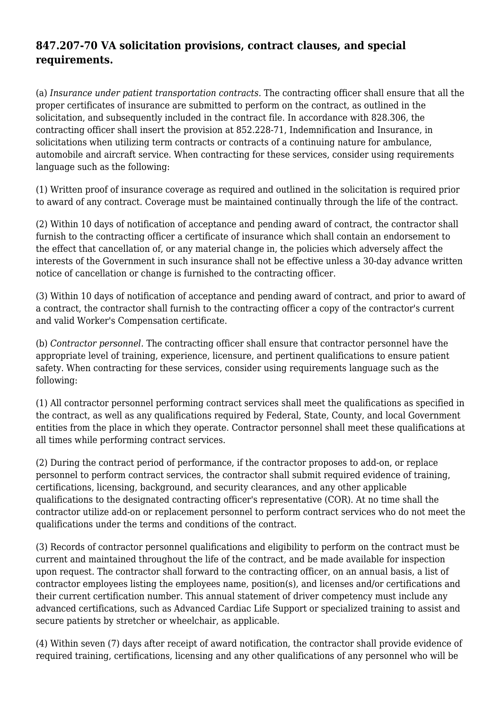# **847.207-70 VA solicitation provisions, contract clauses, and special requirements.**

(a) *Insurance under patient transportation contracts.* The contracting officer shall ensure that all the proper certificates of insurance are submitted to perform on the contract, as outlined in the solicitation, and subsequently included in the contract file. In accordance with 828.306, the contracting officer shall insert the provision at 852.228-71, Indemnification and Insurance, in solicitations when utilizing term contracts or contracts of a continuing nature for ambulance, automobile and aircraft service. When contracting for these services, consider using requirements language such as the following:

(1) Written proof of insurance coverage as required and outlined in the solicitation is required prior to award of any contract. Coverage must be maintained continually through the life of the contract.

(2) Within 10 days of notification of acceptance and pending award of contract, the contractor shall furnish to the contracting officer a certificate of insurance which shall contain an endorsement to the effect that cancellation of, or any material change in, the policies which adversely affect the interests of the Government in such insurance shall not be effective unless a 30-day advance written notice of cancellation or change is furnished to the contracting officer.

(3) Within 10 days of notification of acceptance and pending award of contract, and prior to award of a contract, the contractor shall furnish to the contracting officer a copy of the contractor's current and valid Worker's Compensation certificate.

(b) *Contractor personnel.* The contracting officer shall ensure that contractor personnel have the appropriate level of training, experience, licensure, and pertinent qualifications to ensure patient safety. When contracting for these services, consider using requirements language such as the following:

(1) All contractor personnel performing contract services shall meet the qualifications as specified in the contract, as well as any qualifications required by Federal, State, County, and local Government entities from the place in which they operate. Contractor personnel shall meet these qualifications at all times while performing contract services.

(2) During the contract period of performance, if the contractor proposes to add-on, or replace personnel to perform contract services, the contractor shall submit required evidence of training, certifications, licensing, background, and security clearances, and any other applicable qualifications to the designated contracting officer's representative (COR). At no time shall the contractor utilize add-on or replacement personnel to perform contract services who do not meet the qualifications under the terms and conditions of the contract.

(3) Records of contractor personnel qualifications and eligibility to perform on the contract must be current and maintained throughout the life of the contract, and be made available for inspection upon request. The contractor shall forward to the contracting officer, on an annual basis, a list of contractor employees listing the employees name, position(s), and licenses and/or certifications and their current certification number. This annual statement of driver competency must include any advanced certifications, such as Advanced Cardiac Life Support or specialized training to assist and secure patients by stretcher or wheelchair, as applicable.

(4) Within seven (7) days after receipt of award notification, the contractor shall provide evidence of required training, certifications, licensing and any other qualifications of any personnel who will be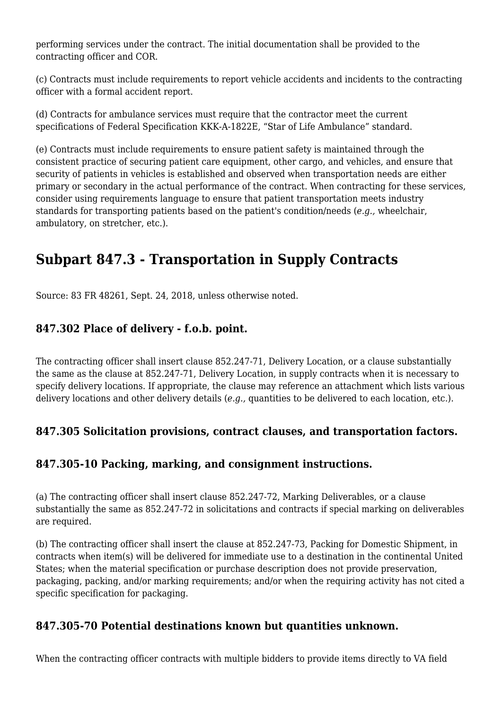performing services under the contract. The initial documentation shall be provided to the contracting officer and COR.

(c) Contracts must include requirements to report vehicle accidents and incidents to the contracting officer with a formal accident report.

(d) Contracts for ambulance services must require that the contractor meet the current specifications of Federal Specification KKK-A-1822E, "Star of Life Ambulance" standard.

(e) Contracts must include requirements to ensure patient safety is maintained through the consistent practice of securing patient care equipment, other cargo, and vehicles, and ensure that security of patients in vehicles is established and observed when transportation needs are either primary or secondary in the actual performance of the contract. When contracting for these services, consider using requirements language to ensure that patient transportation meets industry standards for transporting patients based on the patient's condition/needs (*e.g.,* wheelchair, ambulatory, on stretcher, etc.).

# **Subpart 847.3 - Transportation in Supply Contracts**

Source: 83 FR 48261, Sept. 24, 2018, unless otherwise noted.

#### **847.302 Place of delivery - f.o.b. point.**

The contracting officer shall insert clause 852.247-71, Delivery Location, or a clause substantially the same as the clause at 852.247-71, Delivery Location, in supply contracts when it is necessary to specify delivery locations. If appropriate, the clause may reference an attachment which lists various delivery locations and other delivery details (*e.g.,* quantities to be delivered to each location, etc.).

# **847.305 Solicitation provisions, contract clauses, and transportation factors.**

# **847.305-10 Packing, marking, and consignment instructions.**

(a) The contracting officer shall insert clause 852.247-72, Marking Deliverables, or a clause substantially the same as 852.247-72 in solicitations and contracts if special marking on deliverables are required.

(b) The contracting officer shall insert the clause at 852.247-73, Packing for Domestic Shipment, in contracts when item(s) will be delivered for immediate use to a destination in the continental United States; when the material specification or purchase description does not provide preservation, packaging, packing, and/or marking requirements; and/or when the requiring activity has not cited a specific specification for packaging.

#### **847.305-70 Potential destinations known but quantities unknown.**

When the contracting officer contracts with multiple bidders to provide items directly to VA field